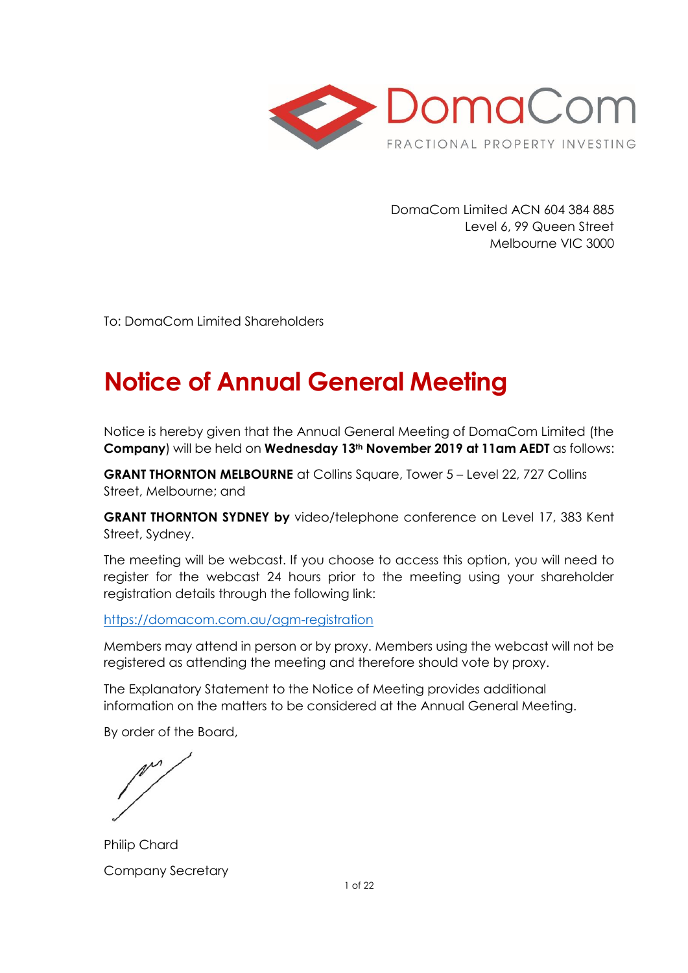

DomaCom Limited ACN 604 384 885 Level 6, 99 Queen Street Melbourne VIC 3000

To: DomaCom Limited Shareholders

# **Notice of Annual General Meeting**

Notice is hereby given that the Annual General Meeting of DomaCom Limited (the **Company**) will be held on **Wednesday 13th November 2019 at 11am AEDT** as follows:

**GRANT THORNTON MELBOURNE** at Collins Square, Tower 5 – Level 22, 727 Collins Street, Melbourne; and

**GRANT THORNTON SYDNEY by** video/telephone conference on Level 17, 383 Kent Street, Sydney.

The meeting will be webcast. If you choose to access this option, you will need to register for the webcast 24 hours prior to the meeting using your shareholder registration details through the following link:

<https://domacom.com.au/agm-registration>

Members may attend in person or by proxy. Members using the webcast will not be registered as attending the meeting and therefore should vote by proxy.

The Explanatory Statement to the Notice of Meeting provides additional information on the matters to be considered at the Annual General Meeting.

By order of the Board,

Philip Chard Company Secretary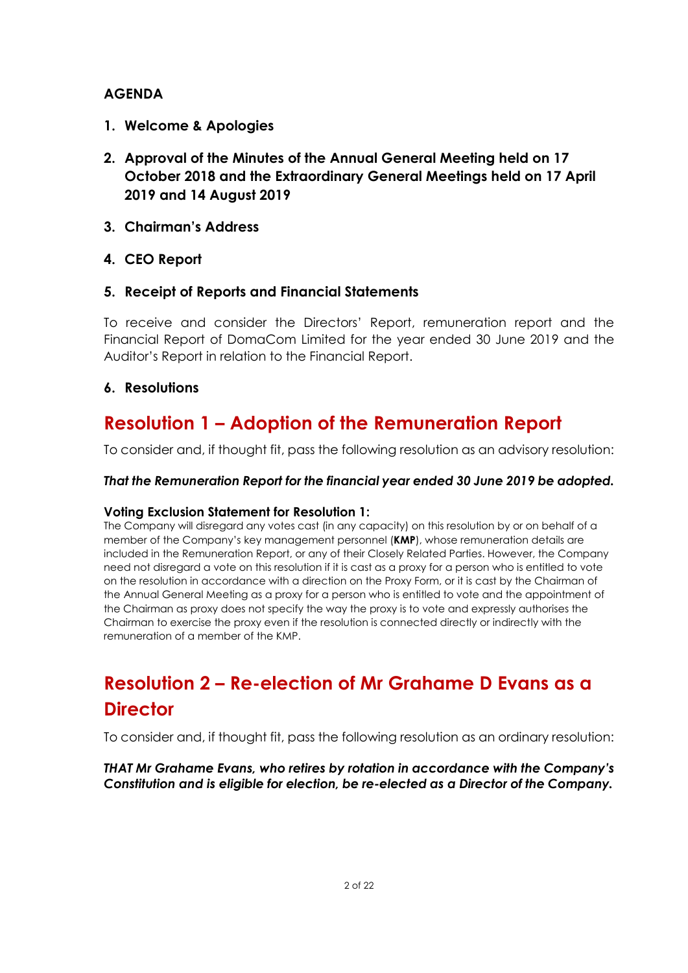### **AGENDA**

- **1. Welcome & Apologies**
- **2. Approval of the Minutes of the Annual General Meeting held on 17 October 2018 and the Extraordinary General Meetings held on 17 April 2019 and 14 August 2019**
- **3. Chairman's Address**
- **4. CEO Report**

### **5. Receipt of Reports and Financial Statements**

To receive and consider the Directors' Report, remuneration report and the Financial Report of DomaCom Limited for the year ended 30 June 2019 and the Auditor's Report in relation to the Financial Report.

### **6. Resolutions**

# **Resolution 1 – Adoption of the Remuneration Report**

To consider and, if thought fit, pass the following resolution as an advisory resolution:

### *That the Remuneration Report for the financial year ended 30 June 2019 be adopted.*

### **Voting Exclusion Statement for Resolution 1:**

The Company will disregard any votes cast (in any capacity) on this resolution by or on behalf of a member of the Company's key management personnel (**KMP**), whose remuneration details are included in the Remuneration Report, or any of their Closely Related Parties. However, the Company need not disregard a vote on this resolution if it is cast as a proxy for a person who is entitled to vote on the resolution in accordance with a direction on the Proxy Form, or it is cast by the Chairman of the Annual General Meeting as a proxy for a person who is entitled to vote and the appointment of the Chairman as proxy does not specify the way the proxy is to vote and expressly authorises the Chairman to exercise the proxy even if the resolution is connected directly or indirectly with the remuneration of a member of the KMP.

# **Resolution 2 – Re-election of Mr Grahame D Evans as a Director**

To consider and, if thought fit, pass the following resolution as an ordinary resolution:

*THAT Mr Grahame Evans, who retires by rotation in accordance with the Company's Constitution and is eligible for election, be re-elected as a Director of the Company.*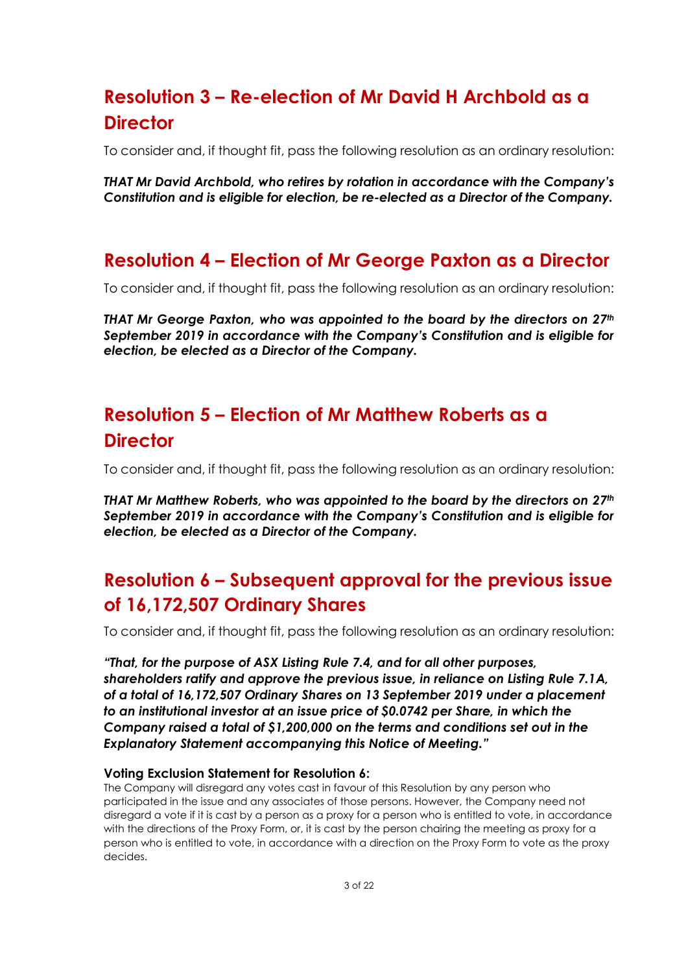# **Resolution 3 – Re-election of Mr David H Archbold as a Director**

To consider and, if thought fit, pass the following resolution as an ordinary resolution:

*THAT Mr David Archbold, who retires by rotation in accordance with the Company's Constitution and is eligible for election, be re-elected as a Director of the Company.*

# **Resolution 4 – Election of Mr George Paxton as a Director**

To consider and, if thought fit, pass the following resolution as an ordinary resolution:

*THAT Mr George Paxton, who was appointed to the board by the directors on 27th September 2019 in accordance with the Company's Constitution and is eligible for election, be elected as a Director of the Company.*

# **Resolution 5 – Election of Mr Matthew Roberts as a Director**

To consider and, if thought fit, pass the following resolution as an ordinary resolution:

*THAT Mr Matthew Roberts, who was appointed to the board by the directors on 27th September 2019 in accordance with the Company's Constitution and is eligible for election, be elected as a Director of the Company.*

# **Resolution 6 – Subsequent approval for the previous issue of 16,172,507 Ordinary Shares**

To consider and, if thought fit, pass the following resolution as an ordinary resolution:

*"That, for the purpose of ASX Listing Rule 7.4, and for all other purposes, shareholders ratify and approve the previous issue, in reliance on Listing Rule 7.1A, of a total of 16,172,507 Ordinary Shares on 13 September 2019 under a placement to an institutional investor at an issue price of \$0.0742 per Share, in which the Company raised a total of \$1,200,000 on the terms and conditions set out in the Explanatory Statement accompanying this Notice of Meeting."* 

#### **Voting Exclusion Statement for Resolution 6:**

The Company will disregard any votes cast in favour of this Resolution by any person who participated in the issue and any associates of those persons. However, the Company need not disregard a vote if it is cast by a person as a proxy for a person who is entitled to vote, in accordance with the directions of the Proxy Form, or, it is cast by the person chairing the meeting as proxy for a person who is entitled to vote, in accordance with a direction on the Proxy Form to vote as the proxy decides.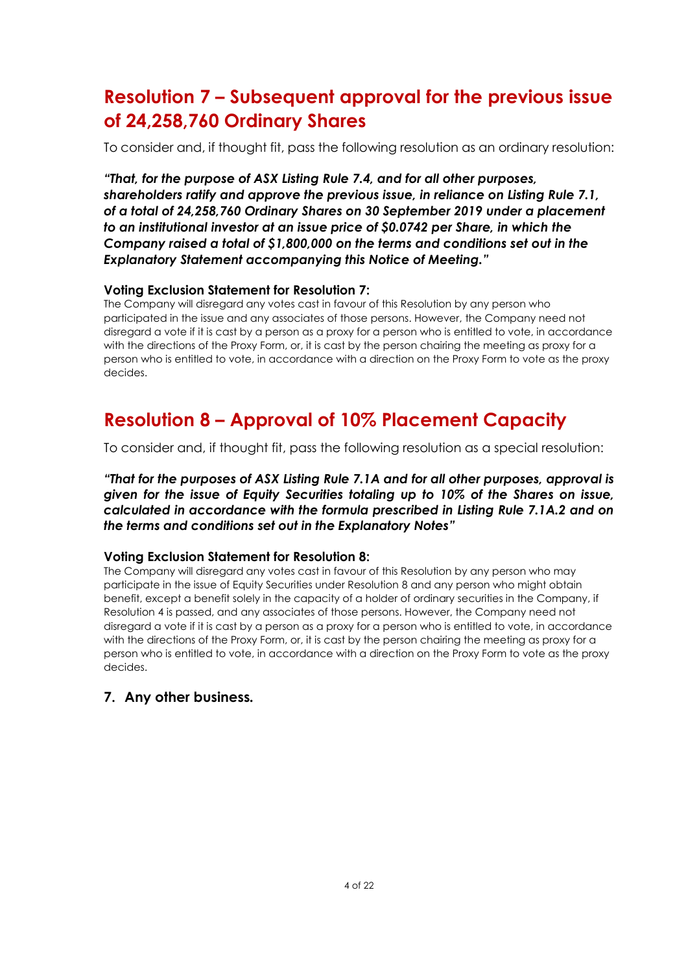# **Resolution 7 – Subsequent approval for the previous issue of 24,258,760 Ordinary Shares**

To consider and, if thought fit, pass the following resolution as an ordinary resolution:

*"That, for the purpose of ASX Listing Rule 7.4, and for all other purposes, shareholders ratify and approve the previous issue, in reliance on Listing Rule 7.1, of a total of 24,258,760 Ordinary Shares on 30 September 2019 under a placement to an institutional investor at an issue price of \$0.0742 per Share, in which the Company raised a total of \$1,800,000 on the terms and conditions set out in the Explanatory Statement accompanying this Notice of Meeting."* 

#### **Voting Exclusion Statement for Resolution 7:**

The Company will disregard any votes cast in favour of this Resolution by any person who participated in the issue and any associates of those persons. However, the Company need not disregard a vote if it is cast by a person as a proxy for a person who is entitled to vote, in accordance with the directions of the Proxy Form, or, it is cast by the person chairing the meeting as proxy for a person who is entitled to vote, in accordance with a direction on the Proxy Form to vote as the proxy decides.

# **Resolution 8 – Approval of 10% Placement Capacity**

To consider and, if thought fit, pass the following resolution as a special resolution:

*"That for the purposes of ASX Listing Rule 7.1A and for all other purposes, approval is given for the issue of Equity Securities totaling up to 10% of the Shares on issue, calculated in accordance with the formula prescribed in Listing Rule 7.1A.2 and on the terms and conditions set out in the Explanatory Notes"*

#### **Voting Exclusion Statement for Resolution 8:**

The Company will disregard any votes cast in favour of this Resolution by any person who may participate in the issue of Equity Securities under Resolution 8 and any person who might obtain benefit, except a benefit solely in the capacity of a holder of ordinary securities in the Company, if Resolution 4 is passed, and any associates of those persons. However, the Company need not disregard a vote if it is cast by a person as a proxy for a person who is entitled to vote, in accordance with the directions of the Proxy Form, or, it is cast by the person chairing the meeting as proxy for a person who is entitled to vote, in accordance with a direction on the Proxy Form to vote as the proxy decides.

### **7. Any other business***.*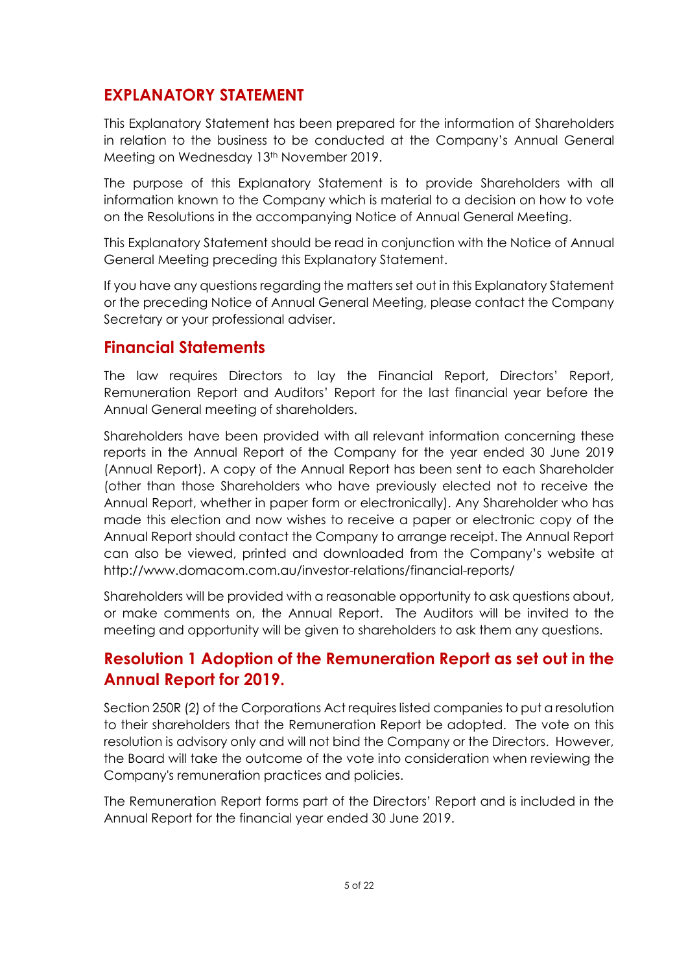# **EXPLANATORY STATEMENT**

This Explanatory Statement has been prepared for the information of Shareholders in relation to the business to be conducted at the Company's Annual General Meeting on Wednesday 13<sup>th</sup> November 2019.

The purpose of this Explanatory Statement is to provide Shareholders with all information known to the Company which is material to a decision on how to vote on the Resolutions in the accompanying Notice of Annual General Meeting.

This Explanatory Statement should be read in conjunction with the Notice of Annual General Meeting preceding this Explanatory Statement.

If you have any questions regarding the matters set out in this Explanatory Statement or the preceding Notice of Annual General Meeting, please contact the Company Secretary or your professional adviser.

# **Financial Statements**

The law requires Directors to lay the Financial Report, Directors' Report, Remuneration Report and Auditors' Report for the last financial year before the Annual General meeting of shareholders.

Shareholders have been provided with all relevant information concerning these reports in the Annual Report of the Company for the year ended 30 June 2019 (Annual Report). A copy of the Annual Report has been sent to each Shareholder (other than those Shareholders who have previously elected not to receive the Annual Report, whether in paper form or electronically). Any Shareholder who has made this election and now wishes to receive a paper or electronic copy of the Annual Report should contact the Company to arrange receipt. The Annual Report can also be viewed, printed and downloaded from the Company's website at http://www.domacom.com.au/investor-relations/financial-reports/

Shareholders will be provided with a reasonable opportunity to ask questions about, or make comments on, the Annual Report. The Auditors will be invited to the meeting and opportunity will be given to shareholders to ask them any questions.

# **Resolution 1 Adoption of the Remuneration Report as set out in the Annual Report for 2019.**

Section 250R (2) of the Corporations Act requires listed companies to put a resolution to their shareholders that the Remuneration Report be adopted. The vote on this resolution is advisory only and will not bind the Company or the Directors. However, the Board will take the outcome of the vote into consideration when reviewing the Company's remuneration practices and policies.

The Remuneration Report forms part of the Directors' Report and is included in the Annual Report for the financial year ended 30 June 2019.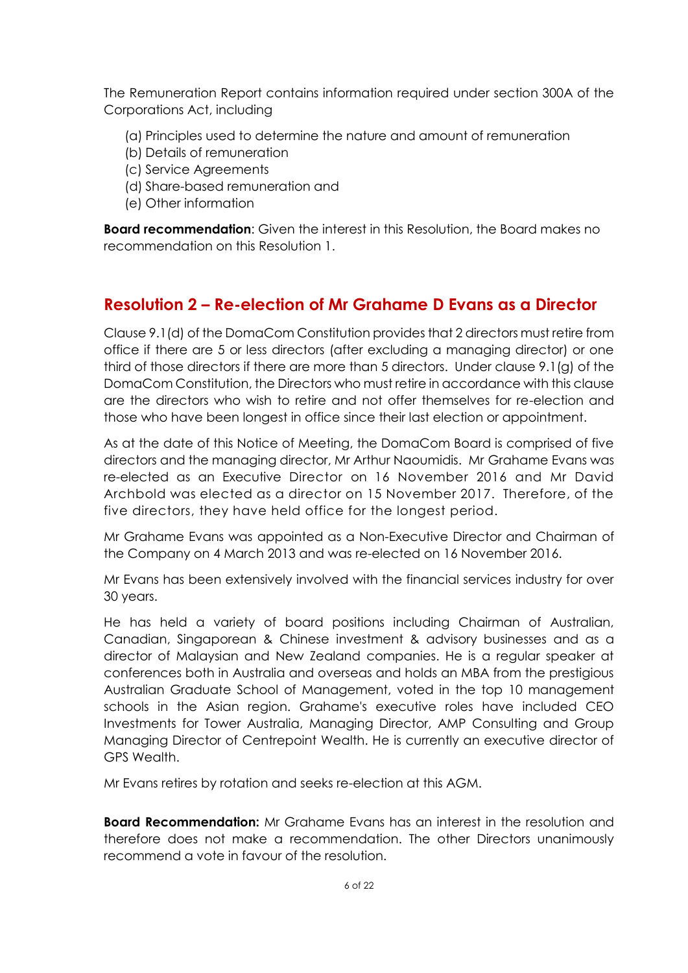The Remuneration Report contains information required under section 300A of the Corporations Act, including

- (a) Principles used to determine the nature and amount of remuneration
- (b) Details of remuneration
- (c) Service Agreements
- (d) Share-based remuneration and
- (e) Other information

**Board recommendation**: Given the interest in this Resolution, the Board makes no recommendation on this Resolution 1.

# **Resolution 2 – Re-election of Mr Grahame D Evans as a Director**

Clause 9.1(d) of the DomaCom Constitution provides that 2 directors must retire from office if there are 5 or less directors (after excluding a managing director) or one third of those directors if there are more than 5 directors. Under clause 9.1(g) of the DomaCom Constitution, the Directors who must retire in accordance with this clause are the directors who wish to retire and not offer themselves for re-election and those who have been longest in office since their last election or appointment.

As at the date of this Notice of Meeting, the DomaCom Board is comprised of five directors and the managing director, Mr Arthur Naoumidis. Mr Grahame Evans was re-elected as an Executive Director on 16 November 2016 and Mr David Archbold was elected as a director on 15 November 2017. Therefore, of the five directors, they have held office for the longest period.

Mr Grahame Evans was appointed as a Non-Executive Director and Chairman of the Company on 4 March 2013 and was re-elected on 16 November 2016.

Mr Evans has been extensively involved with the financial services industry for over 30 years.

He has held a variety of board positions including Chairman of Australian, Canadian, Singaporean & Chinese investment & advisory businesses and as a director of Malaysian and New Zealand companies. He is a regular speaker at conferences both in Australia and overseas and holds an MBA from the prestigious Australian Graduate School of Management, voted in the top 10 management schools in the Asian region. Grahame's executive roles have included CEO Investments for Tower Australia, Managing Director, AMP Consulting and Group Managing Director of Centrepoint Wealth. He is currently an executive director of GPS Wealth.

Mr Evans retires by rotation and seeks re-election at this AGM.

**Board Recommendation:** Mr Grahame Evans has an interest in the resolution and therefore does not make a recommendation. The other Directors unanimously recommend a vote in favour of the resolution.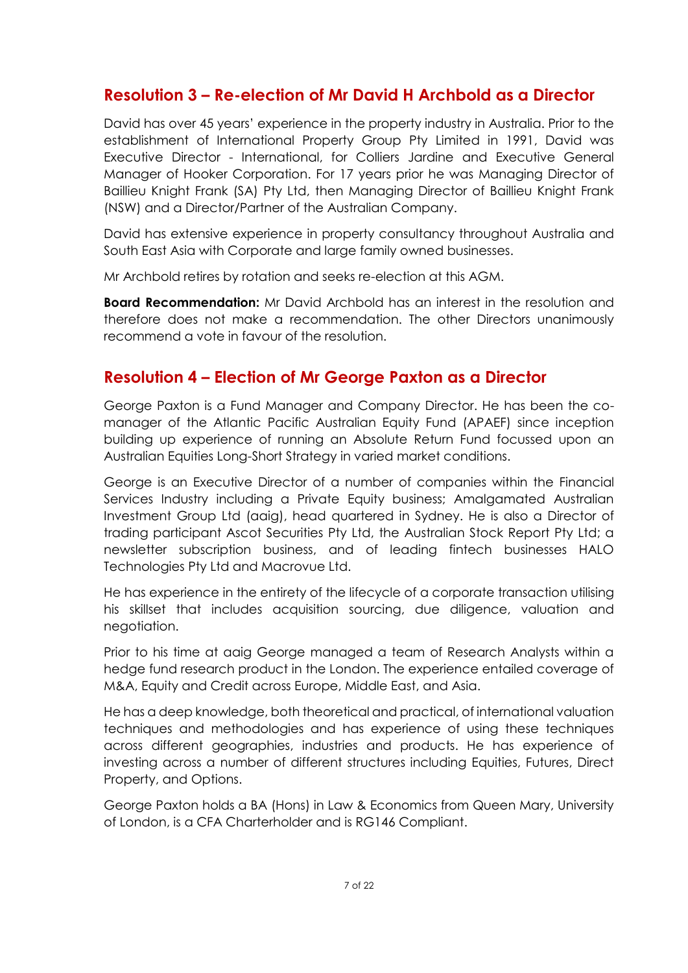# **Resolution 3 – Re-election of Mr David H Archbold as a Director**

David has over 45 years' experience in the property industry in Australia. Prior to the establishment of International Property Group Pty Limited in 1991, David was Executive Director - International, for Colliers Jardine and Executive General Manager of Hooker Corporation. For 17 years prior he was Managing Director of Baillieu Knight Frank (SA) Pty Ltd, then Managing Director of Baillieu Knight Frank (NSW) and a Director/Partner of the Australian Company.

David has extensive experience in property consultancy throughout Australia and South East Asia with Corporate and large family owned businesses.

Mr Archbold retires by rotation and seeks re-election at this AGM.

**Board Recommendation:** Mr David Archbold has an interest in the resolution and therefore does not make a recommendation. The other Directors unanimously recommend a vote in favour of the resolution.

## **Resolution 4 – Election of Mr George Paxton as a Director**

George Paxton is a Fund Manager and Company Director. He has been the comanager of the Atlantic Pacific Australian Equity Fund (APAEF) since inception building up experience of running an Absolute Return Fund focussed upon an Australian Equities Long-Short Strategy in varied market conditions.

George is an Executive Director of a number of companies within the Financial Services Industry including a Private Equity business; Amalgamated Australian Investment Group Ltd (aaig), head quartered in Sydney. He is also a Director of trading participant Ascot Securities Pty Ltd, the Australian Stock Report Pty Ltd; a newsletter subscription business, and of leading fintech businesses HALO Technologies Pty Ltd and Macrovue Ltd.

He has experience in the entirety of the lifecycle of a corporate transaction utilising his skillset that includes acquisition sourcing, due diligence, valuation and negotiation.

Prior to his time at aaig George managed a team of Research Analysts within a hedge fund research product in the London. The experience entailed coverage of M&A, Equity and Credit across Europe, Middle East, and Asia.

He has a deep knowledge, both theoretical and practical, of international valuation techniques and methodologies and has experience of using these techniques across different geographies, industries and products. He has experience of investing across a number of different structures including Equities, Futures, Direct Property, and Options.

George Paxton holds a BA (Hons) in Law & Economics from Queen Mary, University of London, is a CFA Charterholder and is RG146 Compliant.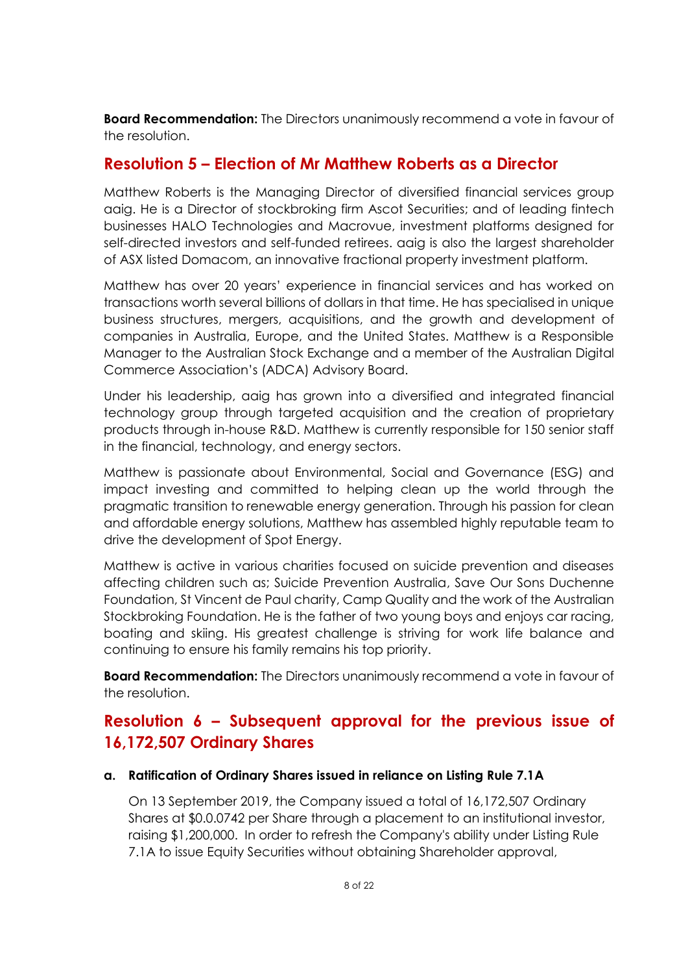**Board Recommendation:** The Directors unanimously recommend a vote in favour of the resolution.

## **Resolution 5 – Election of Mr Matthew Roberts as a Director**

Matthew Roberts is the Managing Director of diversified financial services group aaig. He is a Director of stockbroking firm Ascot Securities; and of leading fintech businesses HALO Technologies and Macrovue, investment platforms designed for self-directed investors and self-funded retirees. aaig is also the largest shareholder of ASX listed Domacom, an innovative fractional property investment platform.

Matthew has over 20 years' experience in financial services and has worked on transactions worth several billions of dollars in that time. He has specialised in unique business structures, mergers, acquisitions, and the growth and development of companies in Australia, Europe, and the United States. Matthew is a Responsible Manager to the Australian Stock Exchange and a member of the Australian Digital Commerce Association's (ADCA) Advisory Board.

Under his leadership, aaig has grown into a diversified and integrated financial technology group through targeted acquisition and the creation of proprietary products through in-house R&D. Matthew is currently responsible for 150 senior staff in the financial, technology, and energy sectors.

Matthew is passionate about Environmental, Social and Governance (ESG) and impact investing and committed to helping clean up the world through the pragmatic transition to renewable energy generation. Through his passion for clean and affordable energy solutions, Matthew has assembled highly reputable team to drive the development of Spot Energy.

Matthew is active in various charities focused on suicide prevention and diseases affecting children such as; Suicide Prevention Australia, Save Our Sons Duchenne Foundation, St Vincent de Paul charity, Camp Quality and the work of the Australian Stockbroking Foundation. He is the father of two young boys and enjoys car racing, boating and skiing. His greatest challenge is striving for work life balance and continuing to ensure his family remains his top priority.

**Board Recommendation:** The Directors unanimously recommend a vote in favour of the resolution.

# **Resolution 6 – Subsequent approval for the previous issue of 16,172,507 Ordinary Shares**

#### **a. Ratification of Ordinary Shares issued in reliance on Listing Rule 7.1A**

On 13 September 2019, the Company issued a total of 16,172,507 Ordinary Shares at \$0.0.0742 per Share through a placement to an institutional investor, raising \$1,200,000. In order to refresh the Company's ability under Listing Rule 7.1A to issue Equity Securities without obtaining Shareholder approval,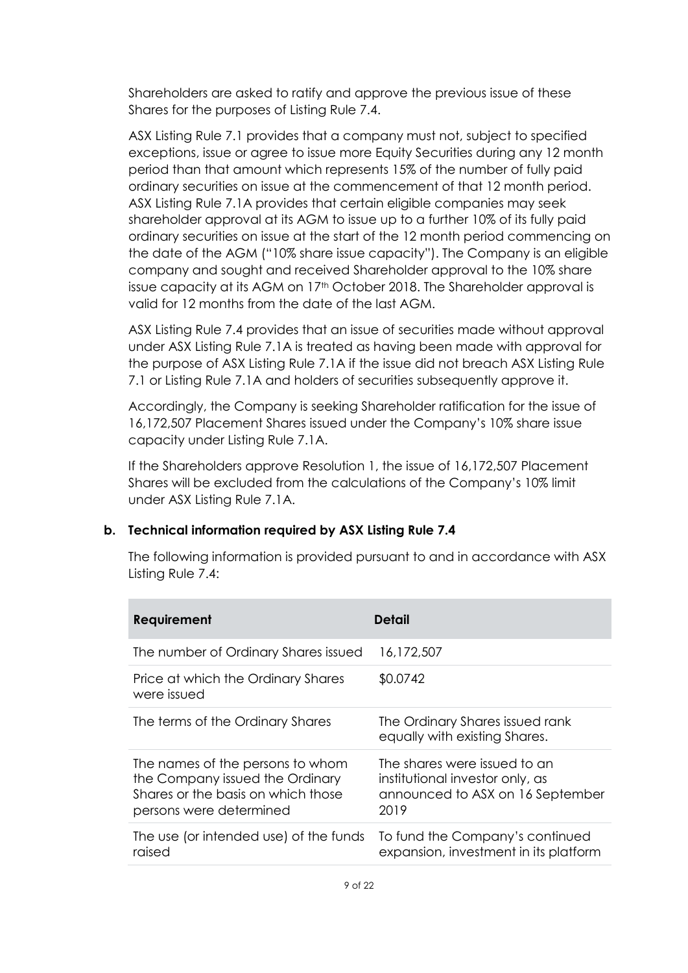Shareholders are asked to ratify and approve the previous issue of these Shares for the purposes of Listing Rule 7.4.

ASX Listing Rule 7.1 provides that a company must not, subject to specified exceptions, issue or agree to issue more Equity Securities during any 12 month period than that amount which represents 15% of the number of fully paid ordinary securities on issue at the commencement of that 12 month period. ASX Listing Rule 7.1A provides that certain eligible companies may seek shareholder approval at its AGM to issue up to a further 10% of its fully paid ordinary securities on issue at the start of the 12 month period commencing on the date of the AGM ("10% share issue capacity"). The Company is an eligible company and sought and received Shareholder approval to the 10% share issue capacity at its AGM on 17<sup>th</sup> October 2018. The Shareholder approval is valid for 12 months from the date of the last AGM.

ASX Listing Rule 7.4 provides that an issue of securities made without approval under ASX Listing Rule 7.1A is treated as having been made with approval for the purpose of ASX Listing Rule 7.1A if the issue did not breach ASX Listing Rule 7.1 or Listing Rule 7.1A and holders of securities subsequently approve it.

Accordingly, the Company is seeking Shareholder ratification for the issue of 16,172,507 Placement Shares issued under the Company's 10% share issue capacity under Listing Rule 7.1A.

If the Shareholders approve Resolution 1, the issue of 16,172,507 Placement Shares will be excluded from the calculations of the Company's 10% limit under ASX Listing Rule 7.1A.

#### **b. Technical information required by ASX Listing Rule 7.4**

The following information is provided pursuant to and in accordance with ASX Listing Rule 7.4:

| Requirement                                                                                                                          | Detail                                                                                                      |
|--------------------------------------------------------------------------------------------------------------------------------------|-------------------------------------------------------------------------------------------------------------|
| The number of Ordinary Shares issued                                                                                                 | 16,172,507                                                                                                  |
| Price at which the Ordinary Shares<br>were issued                                                                                    | \$0.0742                                                                                                    |
| The terms of the Ordinary Shares                                                                                                     | The Ordinary Shares issued rank<br>equally with existing Shares.                                            |
| The names of the persons to whom<br>the Company issued the Ordinary<br>Shares or the basis on which those<br>persons were determined | The shares were issued to an<br>institutional investor only, as<br>announced to ASX on 16 September<br>2019 |
| The use (or intended use) of the funds<br>raised                                                                                     | To fund the Company's continued<br>expansion, investment in its platform                                    |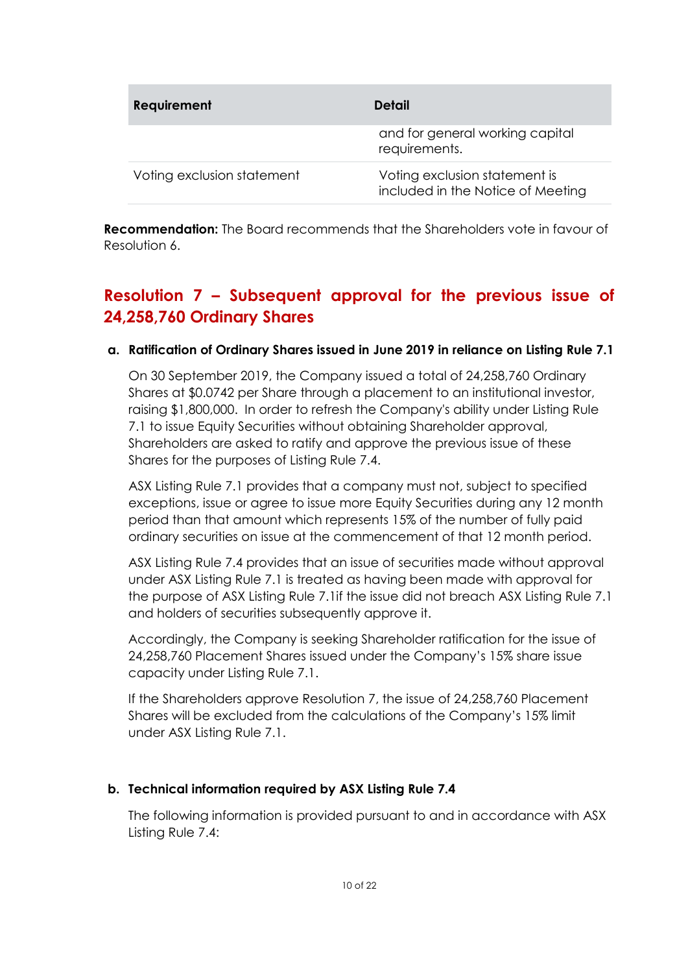| <b>Requirement</b>         | <b>Detail</b>                                                      |
|----------------------------|--------------------------------------------------------------------|
|                            | and for general working capital<br>requirements.                   |
| Voting exclusion statement | Voting exclusion statement is<br>included in the Notice of Meeting |

**Recommendation:** The Board recommends that the Shareholders vote in favour of Resolution 6.

# **Resolution 7 – Subsequent approval for the previous issue of 24,258,760 Ordinary Shares**

### **a. Ratification of Ordinary Shares issued in June 2019 in reliance on Listing Rule 7.1**

On 30 September 2019, the Company issued a total of 24,258,760 Ordinary Shares at \$0.0742 per Share through a placement to an institutional investor, raising \$1,800,000. In order to refresh the Company's ability under Listing Rule 7.1 to issue Equity Securities without obtaining Shareholder approval, Shareholders are asked to ratify and approve the previous issue of these Shares for the purposes of Listing Rule 7.4.

ASX Listing Rule 7.1 provides that a company must not, subject to specified exceptions, issue or agree to issue more Equity Securities during any 12 month period than that amount which represents 15% of the number of fully paid ordinary securities on issue at the commencement of that 12 month period.

ASX Listing Rule 7.4 provides that an issue of securities made without approval under ASX Listing Rule 7.1 is treated as having been made with approval for the purpose of ASX Listing Rule 7.1if the issue did not breach ASX Listing Rule 7.1 and holders of securities subsequently approve it.

Accordingly, the Company is seeking Shareholder ratification for the issue of 24,258,760 Placement Shares issued under the Company's 15% share issue capacity under Listing Rule 7.1.

If the Shareholders approve Resolution 7, the issue of 24,258,760 Placement Shares will be excluded from the calculations of the Company's 15% limit under ASX Listing Rule 7.1.

### **b. Technical information required by ASX Listing Rule 7.4**

The following information is provided pursuant to and in accordance with ASX Listing Rule 7.4: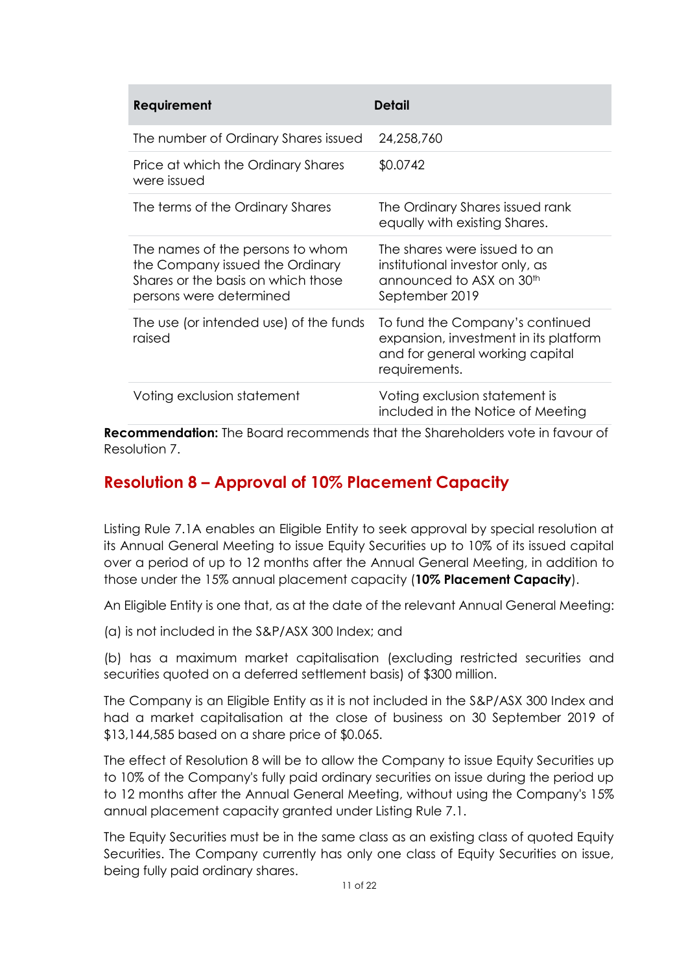| Requirement                                                                                                                          | Detail                                                                                                                       |
|--------------------------------------------------------------------------------------------------------------------------------------|------------------------------------------------------------------------------------------------------------------------------|
| The number of Ordinary Shares issued                                                                                                 | 24,258,760                                                                                                                   |
| Price at which the Ordinary Shares<br>were issued                                                                                    | \$0.0742                                                                                                                     |
| The terms of the Ordinary Shares                                                                                                     | The Ordinary Shares issued rank<br>equally with existing Shares.                                                             |
| The names of the persons to whom<br>the Company issued the Ordinary<br>Shares or the basis on which those<br>persons were determined | The shares were issued to an<br>institutional investor only, as<br>announced to ASX on 30 <sup>th</sup><br>September 2019    |
| The use (or intended use) of the funds<br>raised                                                                                     | To fund the Company's continued<br>expansion, investment in its platform<br>and for general working capital<br>requirements. |
| Voting exclusion statement                                                                                                           | Voting exclusion statement is<br>included in the Notice of Meeting                                                           |

**Recommendation:** The Board recommends that the Shareholders vote in favour of Resolution 7.

# **Resolution 8 – Approval of 10% Placement Capacity**

Listing Rule 7.1A enables an Eligible Entity to seek approval by special resolution at its Annual General Meeting to issue Equity Securities up to 10% of its issued capital over a period of up to 12 months after the Annual General Meeting, in addition to those under the 15% annual placement capacity (**10% Placement Capacity**).

An Eligible Entity is one that, as at the date of the relevant Annual General Meeting:

(a) is not included in the S&P/ASX 300 Index; and

(b) has a maximum market capitalisation (excluding restricted securities and securities quoted on a deferred settlement basis) of \$300 million.

The Company is an Eligible Entity as it is not included in the S&P/ASX 300 Index and had a market capitalisation at the close of business on 30 September 2019 of \$13,144,585 based on a share price of \$0.065.

The effect of Resolution 8 will be to allow the Company to issue Equity Securities up to 10% of the Company's fully paid ordinary securities on issue during the period up to 12 months after the Annual General Meeting, without using the Company's 15% annual placement capacity granted under Listing Rule 7.1.

The Equity Securities must be in the same class as an existing class of quoted Equity Securities. The Company currently has only one class of Equity Securities on issue, being fully paid ordinary shares.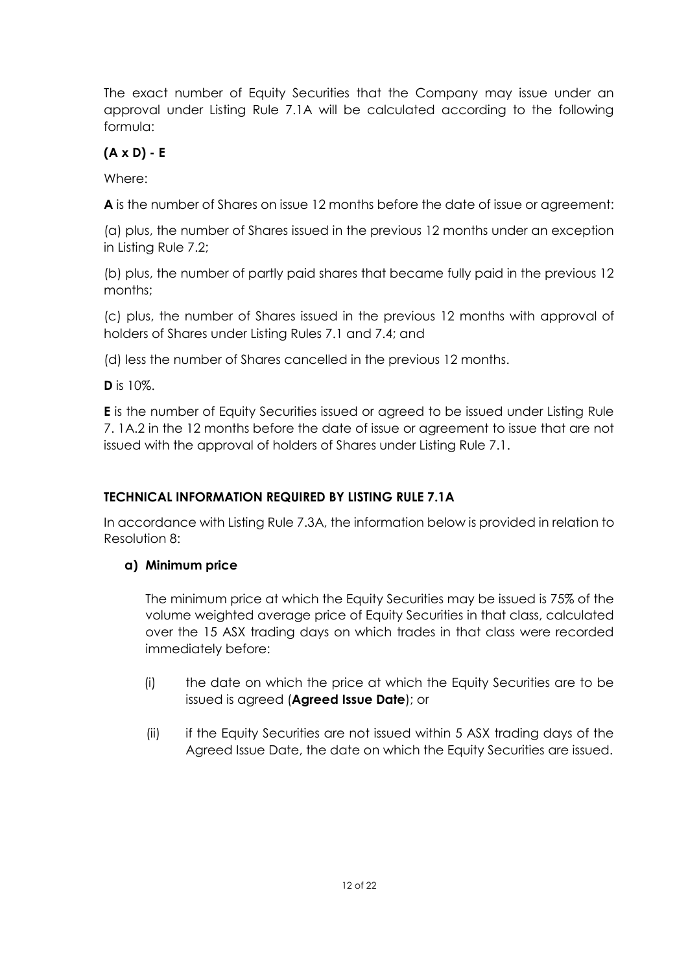The exact number of Equity Securities that the Company may issue under an approval under Listing Rule 7.1A will be calculated according to the following formula:

# **(A x D) - E**

Where:

**A** is the number of Shares on issue 12 months before the date of issue or agreement:

(a) plus, the number of Shares issued in the previous 12 months under an exception in Listing Rule 7.2;

(b) plus, the number of partly paid shares that became fully paid in the previous 12 months;

(c) plus, the number of Shares issued in the previous 12 months with approval of holders of Shares under Listing Rules 7.1 and 7.4; and

(d) less the number of Shares cancelled in the previous 12 months.

**D** is 10%.

**E** is the number of Equity Securities issued or agreed to be issued under Listing Rule 7. 1A.2 in the 12 months before the date of issue or agreement to issue that are not issued with the approval of holders of Shares under Listing Rule 7.1.

## **TECHNICAL INFORMATION REQUIRED BY LISTING RULE 7.1A**

In accordance with Listing Rule 7.3A, the information below is provided in relation to Resolution 8:

## **a) Minimum price**

The minimum price at which the Equity Securities may be issued is 75% of the volume weighted average price of Equity Securities in that class, calculated over the 15 ASX trading days on which trades in that class were recorded immediately before:

- (i) the date on which the price at which the Equity Securities are to be issued is agreed (**Agreed Issue Date**); or
- (ii) if the Equity Securities are not issued within 5 ASX trading days of the Agreed Issue Date, the date on which the Equity Securities are issued.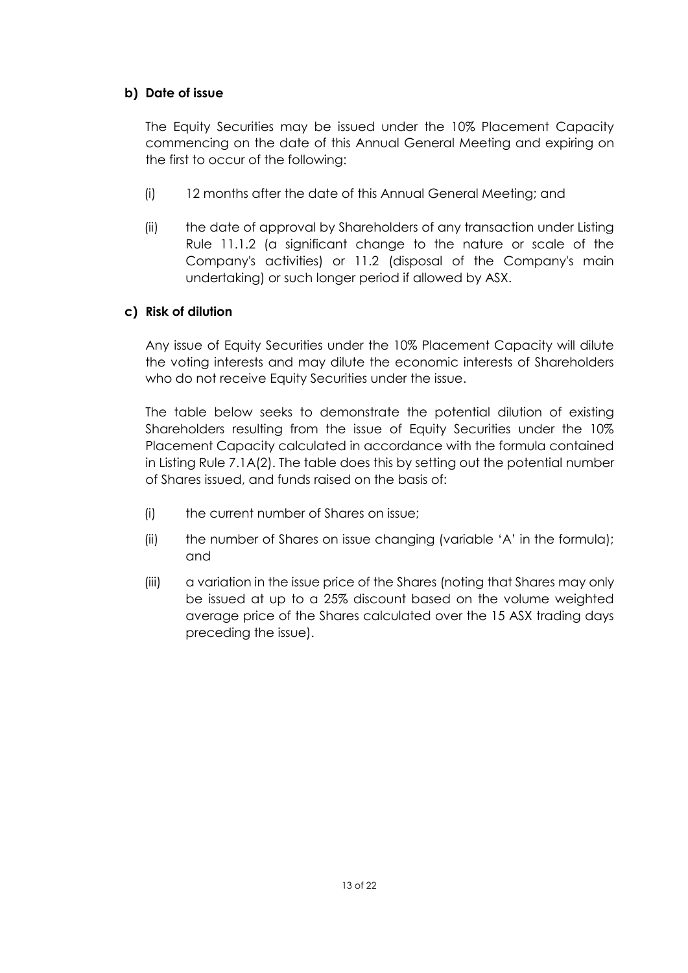### **b) Date of issue**

The Equity Securities may be issued under the 10% Placement Capacity commencing on the date of this Annual General Meeting and expiring on the first to occur of the following:

- (i) 12 months after the date of this Annual General Meeting; and
- (ii) the date of approval by Shareholders of any transaction under Listing Rule 11.1.2 (a significant change to the nature or scale of the Company's activities) or 11.2 (disposal of the Company's main undertaking) or such longer period if allowed by ASX.

### **c) Risk of dilution**

Any issue of Equity Securities under the 10% Placement Capacity will dilute the voting interests and may dilute the economic interests of Shareholders who do not receive Equity Securities under the issue.

The table below seeks to demonstrate the potential dilution of existing Shareholders resulting from the issue of Equity Securities under the 10% Placement Capacity calculated in accordance with the formula contained in Listing Rule 7.1A(2). The table does this by setting out the potential number of Shares issued, and funds raised on the basis of:

- (i) the current number of Shares on issue;
- (ii) the number of Shares on issue changing (variable 'A' in the formula); and
- (iii) a variation in the issue price of the Shares (noting that Shares may only be issued at up to a 25% discount based on the volume weighted average price of the Shares calculated over the 15 ASX trading days preceding the issue).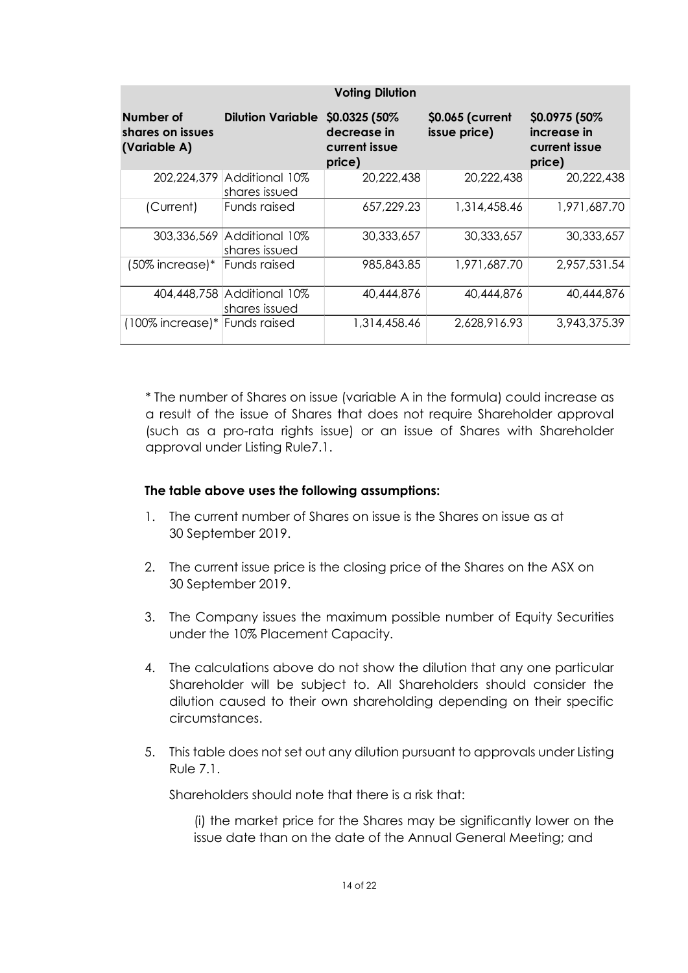| <b>Voting Dilution</b>                        |                                             |                                                          |                                  |                                                          |  |
|-----------------------------------------------|---------------------------------------------|----------------------------------------------------------|----------------------------------|----------------------------------------------------------|--|
| Number of<br>shares on issues<br>(Variable A) | <b>Dilution Variable</b>                    | \$0.0325 (50%)<br>decrease in<br>current issue<br>price) | \$0.065 (current<br>issue price) | \$0.0975 (50%)<br>increase in<br>current issue<br>price) |  |
|                                               | 202,224,379 Additional 10%<br>shares issued | 20,222,438                                               | 20,222,438                       | 20,222,438                                               |  |
| (Current)                                     | Funds raised                                | 657,229.23                                               | 1,314,458.46                     | 1,971,687.70                                             |  |
|                                               | 303,336,569 Additional 10%<br>shares issued | 30,333,657                                               | 30,333,657                       | 30,333,657                                               |  |
| $(50\%$ increase)*                            | <b>Funds raised</b>                         | 985,843.85                                               | 1,971,687.70                     | 2,957,531.54                                             |  |
|                                               | 404,448,758 Additional 10%<br>shares issued | 40,444,876                                               | 40,444,876                       | 40,444,876                                               |  |
| (100% increase)* Funds raised                 |                                             | 1,314,458.46                                             | 2,628,916.93                     | 3,943,375.39                                             |  |

\* The number of Shares on issue (variable A in the formula) could increase as a result of the issue of Shares that does not require Shareholder approval (such as a pro-rata rights issue) or an issue of Shares with Shareholder approval under Listing Rule7.1.

#### **The table above uses the following assumptions:**

- 1. The current number of Shares on issue is the Shares on issue as at 30 September 2019.
- 2. The current issue price is the closing price of the Shares on the ASX on 30 September 2019.
- 3. The Company issues the maximum possible number of Equity Securities under the 10% Placement Capacity.
- 4. The calculations above do not show the dilution that any one particular Shareholder will be subject to. All Shareholders should consider the dilution caused to their own shareholding depending on their specific circumstances.
- 5. This table does not set out any dilution pursuant to approvals under Listing Rule 7.1.

Shareholders should note that there is a risk that:

(i) the market price for the Shares may be significantly lower on the issue date than on the date of the Annual General Meeting; and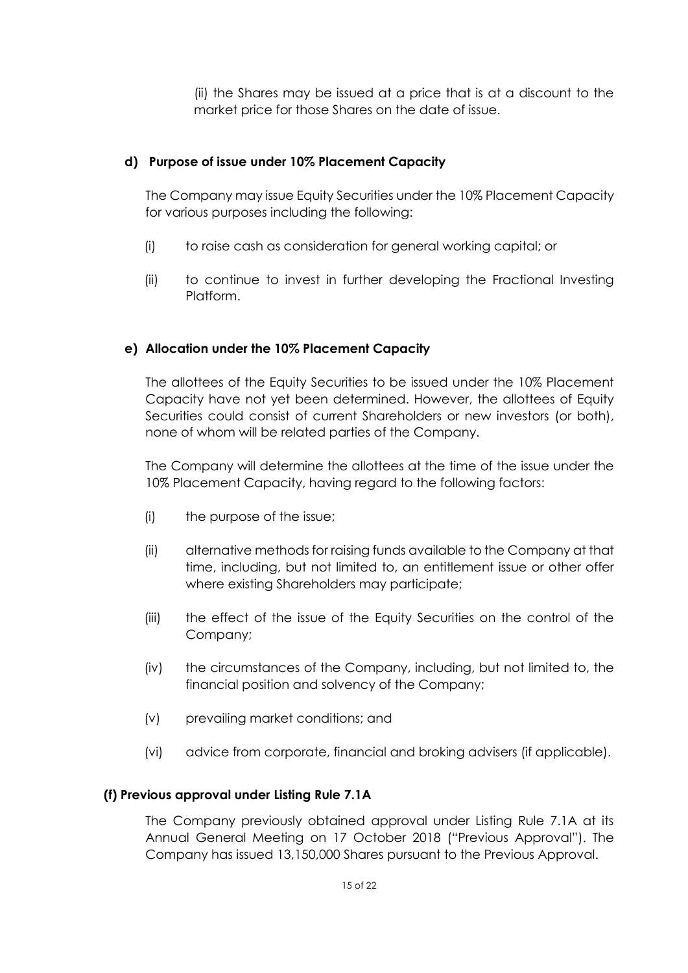(ii) the Shares may be issued at a price that is at a discount to the market price for those Shares on the date of issue.

#### **d) Purpose of issue under 10% Placement Capacity**

The Company may issue Equity Securities under the 10% Placement Capacity for various purposes including the following:

- (i) to raise cash as consideration for general working capital; or
- (ii) to continue to invest in further developing the Fractional Investing Platform.

#### **e) Allocation under the 10% Placement Capacity**

The allottees of the Equity Securities to be issued under the 10% Placement Capacity have not yet been determined. However, the allottees of Equity Securities could consist of current Shareholders or new investors (or both), none of whom will be related parties of the Company.

The Company will determine the allottees at the time of the issue under the 10% Placement Capacity, having regard to the following factors:

- (i) the purpose of the issue;
- (ii) alternative methods for raising funds available to the Company at that time, including, but not limited to, an entitlement issue or other offer where existing Shareholders may participate;
- (iii) the effect of the issue of the Equity Securities on the control of the Company;
- (iv) the circumstances of the Company, including, but not limited to, the financial position and solvency of the Company;
- (v) prevailing market conditions; and
- (vi) advice from corporate, financial and broking advisers (if applicable).

#### **(f) Previous approval under Listing Rule 7.1A**

The Company previously obtained approval under Listing Rule 7.1A at its Annual General Meeting on 17 October 2018 ("Previous Approval"). The Company has issued 13,150,000 Shares pursuant to the Previous Approval.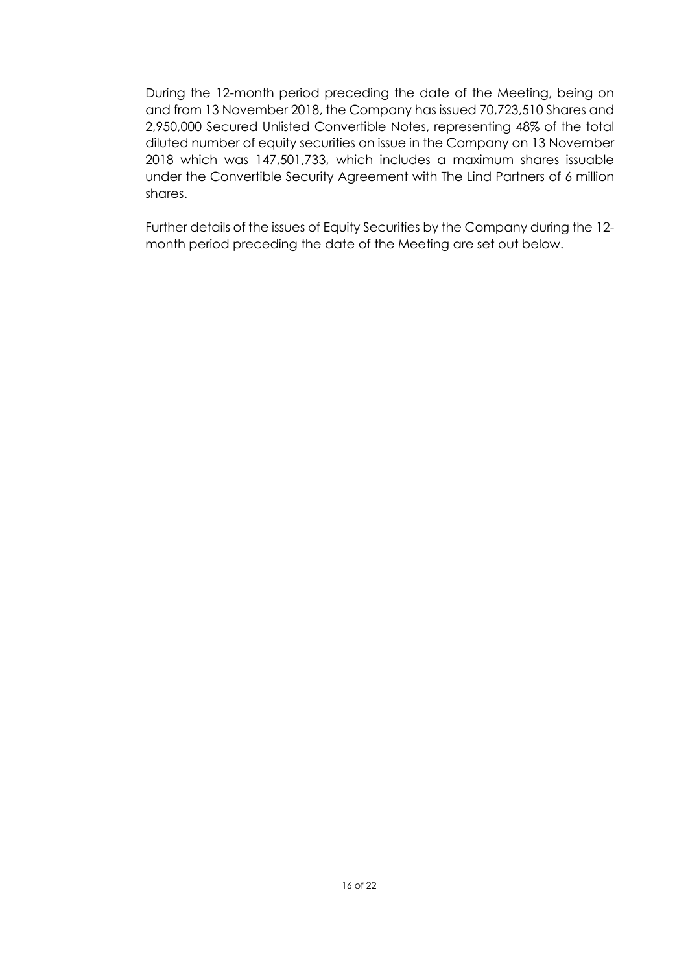During the 12-month period preceding the date of the Meeting, being on and from 13 November 2018, the Company has issued 70,723,510 Shares and 2,950,000 Secured Unlisted Convertible Notes, representing 48% of the total diluted number of equity securities on issue in the Company on 13 November 2018 which was 147,501,733, which includes a maximum shares issuable under the Convertible Security Agreement with The Lind Partners of 6 million shares.

Further details of the issues of Equity Securities by the Company during the 12 month period preceding the date of the Meeting are set out below.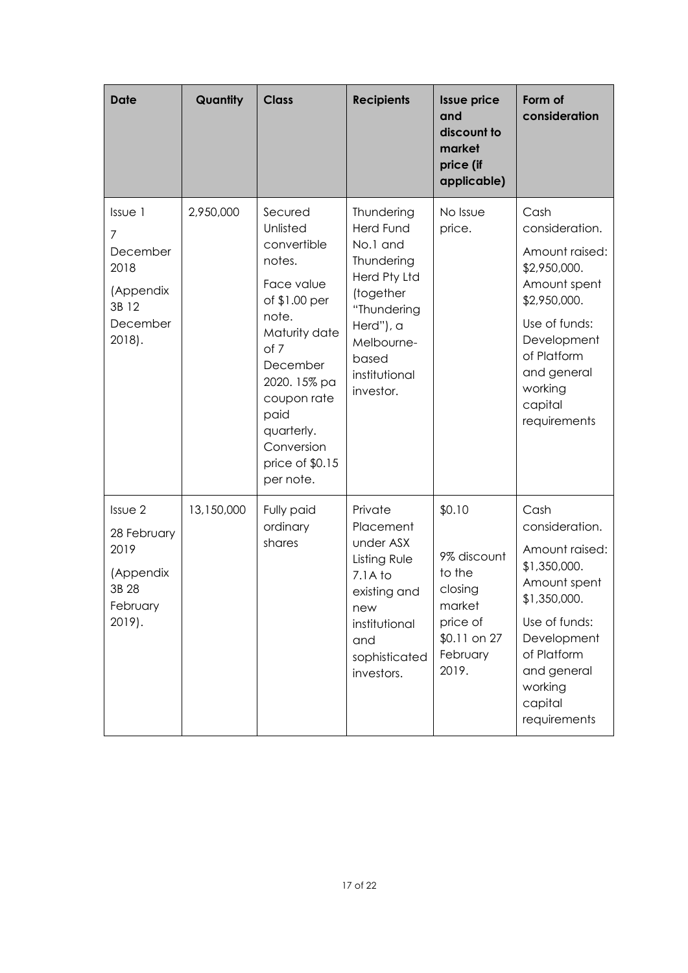| <b>Date</b>                                                                  | Quantity   | <b>Class</b>                                                                                                                                                                                                                 | <b>Recipients</b>                                                                                                                                                      | <b>Issue price</b><br>and<br>discount to<br>market<br>price (if<br>applicable)                        | Form of<br>consideration                                                                                                                                                                     |
|------------------------------------------------------------------------------|------------|------------------------------------------------------------------------------------------------------------------------------------------------------------------------------------------------------------------------------|------------------------------------------------------------------------------------------------------------------------------------------------------------------------|-------------------------------------------------------------------------------------------------------|----------------------------------------------------------------------------------------------------------------------------------------------------------------------------------------------|
| Issue 1<br>7<br>December<br>2018<br>(Appendix<br>3B 12<br>December<br>2018). | 2,950,000  | Secured<br>Unlisted<br>convertible<br>notes.<br>Face value<br>of \$1.00 per<br>note.<br>Maturity date<br>of 7<br>December<br>2020. 15% pa<br>coupon rate<br>paid<br>quarterly.<br>Conversion<br>price of \$0.15<br>per note. | Thundering<br><b>Herd Fund</b><br>No.1 and<br>Thundering<br>Herd Pty Ltd<br>(together<br>"Thundering<br>Herd"), a<br>Melbourne-<br>based<br>institutional<br>investor. | No Issue<br>price.                                                                                    | Cash<br>consideration.<br>Amount raised:<br>\$2,950,000.<br>Amount spent<br>\$2,950,000.<br>Use of funds:<br>Development<br>of Platform<br>and general<br>working<br>capital<br>requirements |
| Issue 2<br>28 February<br>2019<br>(Appendix<br>3B 28<br>February<br>2019).   | 13,150,000 | Fully paid<br>ordinary<br>shares                                                                                                                                                                                             | Private<br>Placement<br>under ASX<br>Listing Rule<br>$7.1A$ to<br>existing and<br>new<br>institutional<br>and<br>sophisticated<br>investors.                           | \$0.10<br>9% discount<br>to the<br>closing<br>market<br>price of<br>\$0.11 on 27<br>February<br>2019. | Cash<br>consideration.<br>Amount raised:<br>\$1,350,000.<br>Amount spent<br>\$1,350,000.<br>Use of funds:<br>Development<br>of Platform<br>and general<br>working<br>capital<br>requirements |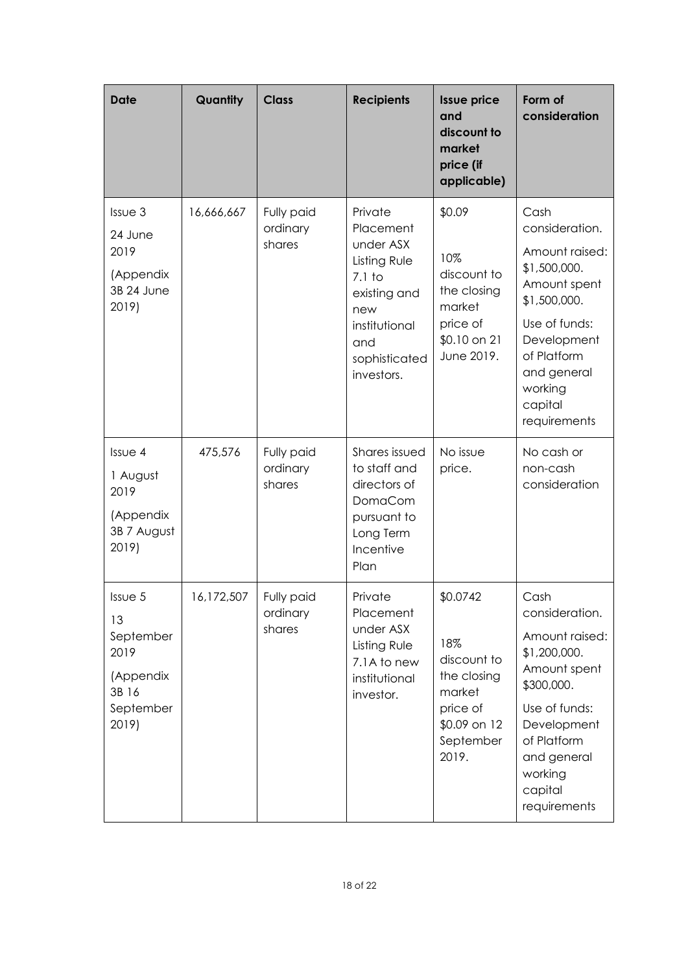| <b>Date</b>                                                                    | Quantity   | <b>Class</b>                     | <b>Recipients</b>                                                                                                                           | <b>Issue price</b><br>and<br>discount to<br>market<br>price (if<br>applicable)                            | Form of<br>consideration                                                                                                                                                                     |
|--------------------------------------------------------------------------------|------------|----------------------------------|---------------------------------------------------------------------------------------------------------------------------------------------|-----------------------------------------------------------------------------------------------------------|----------------------------------------------------------------------------------------------------------------------------------------------------------------------------------------------|
| Issue 3<br>24 June<br>2019<br>(Appendix<br>3B 24 June<br>2019)                 | 16,666,667 | Fully paid<br>ordinary<br>shares | Private<br>Placement<br>under ASX<br>Listing Rule<br>$7.1$ to<br>existing and<br>new<br>institutional<br>and<br>sophisticated<br>investors. | \$0.09<br>10%<br>discount to<br>the closing<br>market<br>price of<br>\$0.10 on 21<br>June 2019.           | Cash<br>consideration.<br>Amount raised:<br>\$1,500,000.<br>Amount spent<br>\$1,500,000.<br>Use of funds:<br>Development<br>of Platform<br>and general<br>working<br>capital<br>requirements |
| Issue 4<br>1 August<br>2019<br>(Appendix<br>3B 7 August<br>2019)               | 475,576    | Fully paid<br>ordinary<br>shares | Shares issued<br>to staff and<br>directors of<br>DomaCom<br>pursuant to<br>Long Term<br>Incentive<br>Plan                                   | No issue<br>price.                                                                                        | No cash or<br>non-cash<br>consideration                                                                                                                                                      |
| Issue 5<br>13<br>September<br>2019<br>(Appendix<br>3B 16<br>September<br>2019) | 16,172,507 | Fully paid<br>ordinary<br>shares | Private<br>Placement<br>under ASX<br>Listing Rule<br>7.1A to new<br>institutional<br>investor.                                              | \$0.0742<br>18%<br>discount to<br>the closing<br>market<br>price of<br>\$0.09 on 12<br>September<br>2019. | Cash<br>consideration.<br>Amount raised:<br>\$1,200,000.<br>Amount spent<br>\$300,000.<br>Use of funds:<br>Development<br>of Platform<br>and general<br>working<br>capital<br>requirements   |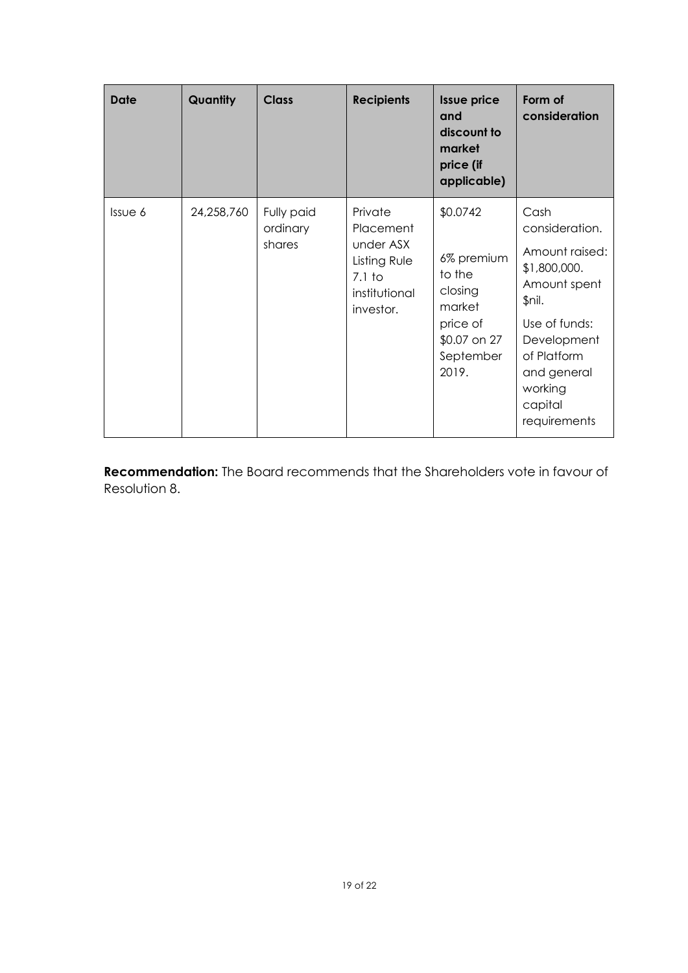| <b>Date</b>  | Quantity   | <b>Class</b>                     | <b>Recipients</b>                                                                           | <b>Issue price</b><br>and<br>discount to<br>market<br>price (if<br>applicable)                          | Form of<br>consideration                                                                                                                                                               |
|--------------|------------|----------------------------------|---------------------------------------------------------------------------------------------|---------------------------------------------------------------------------------------------------------|----------------------------------------------------------------------------------------------------------------------------------------------------------------------------------------|
| $Is5 \cup 6$ | 24,258,760 | Fully paid<br>ordinary<br>shares | Private<br>Placement<br>under ASX<br>Listing Rule<br>$7.1$ to<br>institutional<br>investor. | \$0.0742<br>6% premium<br>to the<br>closing<br>market<br>price of<br>\$0.07 on 27<br>September<br>2019. | Cash<br>consideration.<br>Amount raised:<br>\$1,800,000.<br>Amount spent<br>\$nil.<br>Use of funds:<br>Development<br>of Platform<br>and general<br>working<br>capital<br>requirements |

**Recommendation:** The Board recommends that the Shareholders vote in favour of Resolution 8.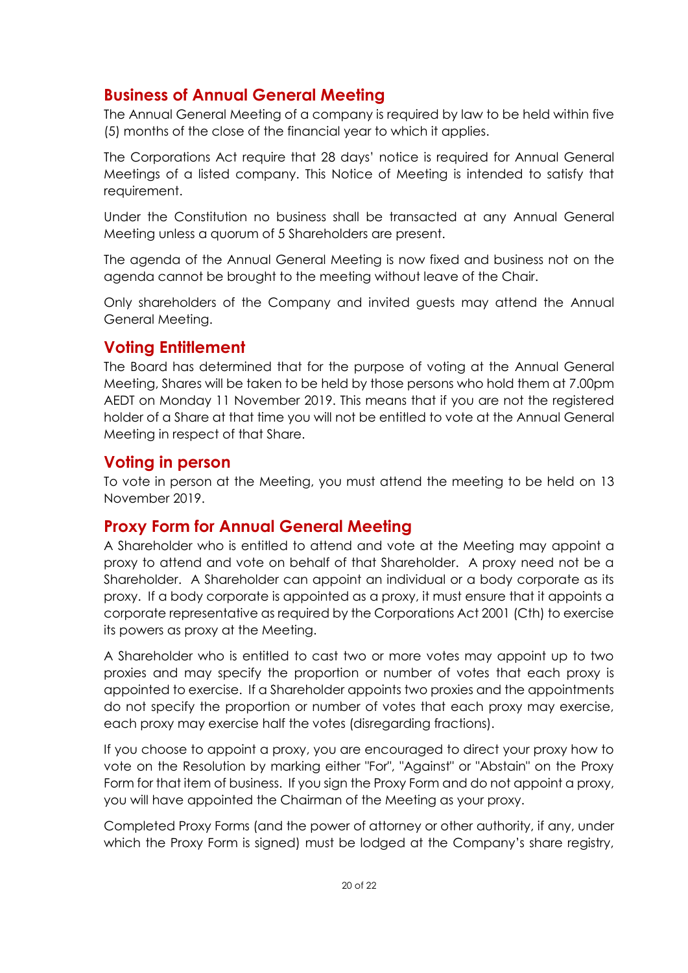# **Business of Annual General Meeting**

The Annual General Meeting of a company is required by law to be held within five (5) months of the close of the financial year to which it applies.

The Corporations Act require that 28 days' notice is required for Annual General Meetings of a listed company. This Notice of Meeting is intended to satisfy that requirement.

Under the Constitution no business shall be transacted at any Annual General Meeting unless a quorum of 5 Shareholders are present.

The agenda of the Annual General Meeting is now fixed and business not on the agenda cannot be brought to the meeting without leave of the Chair.

Only shareholders of the Company and invited guests may attend the Annual General Meeting.

## **Voting Entitlement**

The Board has determined that for the purpose of voting at the Annual General Meeting, Shares will be taken to be held by those persons who hold them at 7.00pm AEDT on Monday 11 November 2019. This means that if you are not the registered holder of a Share at that time you will not be entitled to vote at the Annual General Meeting in respect of that Share.

## **Voting in person**

To vote in person at the Meeting, you must attend the meeting to be held on 13 November 2019.

# **Proxy Form for Annual General Meeting**

A Shareholder who is entitled to attend and vote at the Meeting may appoint a proxy to attend and vote on behalf of that Shareholder. A proxy need not be a Shareholder. A Shareholder can appoint an individual or a body corporate as its proxy. If a body corporate is appointed as a proxy, it must ensure that it appoints a corporate representative as required by the Corporations Act 2001 (Cth) to exercise its powers as proxy at the Meeting.

A Shareholder who is entitled to cast two or more votes may appoint up to two proxies and may specify the proportion or number of votes that each proxy is appointed to exercise. If a Shareholder appoints two proxies and the appointments do not specify the proportion or number of votes that each proxy may exercise, each proxy may exercise half the votes (disregarding fractions).

If you choose to appoint a proxy, you are encouraged to direct your proxy how to vote on the Resolution by marking either "For", "Against" or "Abstain" on the Proxy Form for that item of business. If you sign the Proxy Form and do not appoint a proxy, you will have appointed the Chairman of the Meeting as your proxy.

Completed Proxy Forms (and the power of attorney or other authority, if any, under which the Proxy Form is signed) must be lodged at the Company's share registry,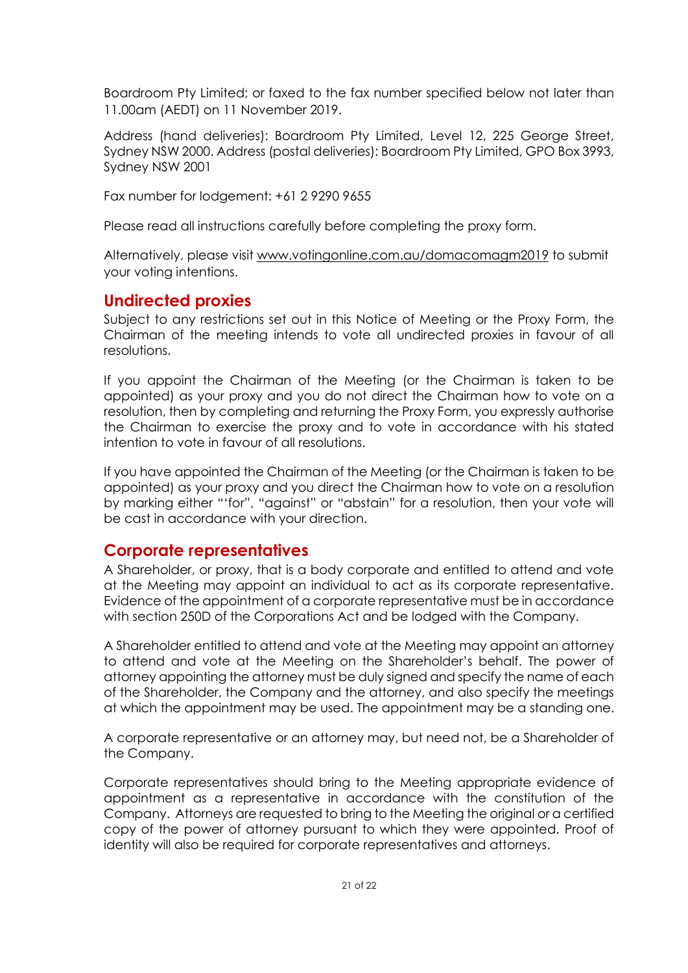Boardroom Pty Limited; or faxed to the fax number specified below not later than 11.00am (AEDT) on 11 November 2019.

Address (hand deliveries): Boardroom Pty Limited, Level 12, 225 George Street, Sydney NSW 2000. Address (postal deliveries): Boardroom Pty Limited, GPO Box 3993, Sydney NSW 2001

Fax number for lodgement: +61 2 9290 9655

Please read all instructions carefully before completing the proxy form.

Alternatively, please visit [www.votingonline.com.au/domacomagm2019](http://www.votingonline.com.au/domacomagm2018) to submit your voting intentions.

## **Undirected proxies**

Subject to any restrictions set out in this Notice of Meeting or the Proxy Form, the Chairman of the meeting intends to vote all undirected proxies in favour of all resolutions.

If you appoint the Chairman of the Meeting (or the Chairman is taken to be appointed) as your proxy and you do not direct the Chairman how to vote on a resolution, then by completing and returning the Proxy Form, you expressly authorise the Chairman to exercise the proxy and to vote in accordance with his stated intention to vote in favour of all resolutions.

If you have appointed the Chairman of the Meeting (or the Chairman is taken to be appointed) as your proxy and you direct the Chairman how to vote on a resolution by marking either "'for", "against" or "abstain" for a resolution, then your vote will be cast in accordance with your direction.

## **Corporate representatives**

A Shareholder, or proxy, that is a body corporate and entitled to attend and vote at the Meeting may appoint an individual to act as its corporate representative. Evidence of the appointment of a corporate representative must be in accordance with section 250D of the Corporations Act and be lodged with the Company.

A Shareholder entitled to attend and vote at the Meeting may appoint an attorney to attend and vote at the Meeting on the Shareholder's behalf. The power of attorney appointing the attorney must be duly signed and specify the name of each of the Shareholder, the Company and the attorney, and also specify the meetings at which the appointment may be used. The appointment may be a standing one.

A corporate representative or an attorney may, but need not, be a Shareholder of the Company.

Corporate representatives should bring to the Meeting appropriate evidence of appointment as a representative in accordance with the constitution of the Company. Attorneys are requested to bring to the Meeting the original or a certified copy of the power of attorney pursuant to which they were appointed. Proof of identity will also be required for corporate representatives and attorneys.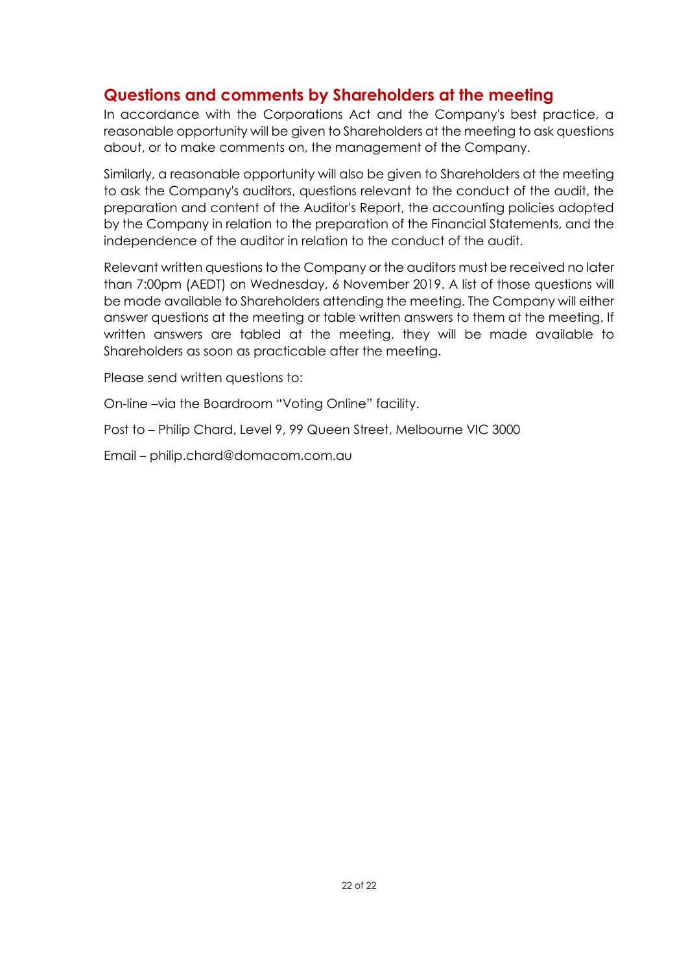# **Questions and comments by Shareholders at the meeting**

In accordance with the Corporations Act and the Company's best practice, a reasonable opportunity will be given to Shareholders at the meeting to ask questions about, or to make comments on, the management of the Company.

Similarly, a reasonable opportunity will also be given to Shareholders at the meeting to ask the Company's auditors, questions relevant to the conduct of the audit, the preparation and content of the Auditor's Report, the accounting policies adopted by the Company in relation to the preparation of the Financial Statements, and the independence of the auditor in relation to the conduct of the audit.

Relevant written questions to the Company or the auditors must be received no later than 7:00pm (AEDT) on Wednesday, 6 November 2019. A list of those questions will be made available to Shareholders attending the meeting. The Company will either answer questions at the meeting or table written answers to them at the meeting. If written answers are tabled at the meeting, they will be made available to Shareholders as soon as practicable after the meeting.

Please send written questions to:

On-line –via the Boardroom "Voting Online" facility.

Post to – Philip Chard, Level 9, 99 Queen Street, Melbourne VIC 3000

Email – philip.chard@domacom.com.au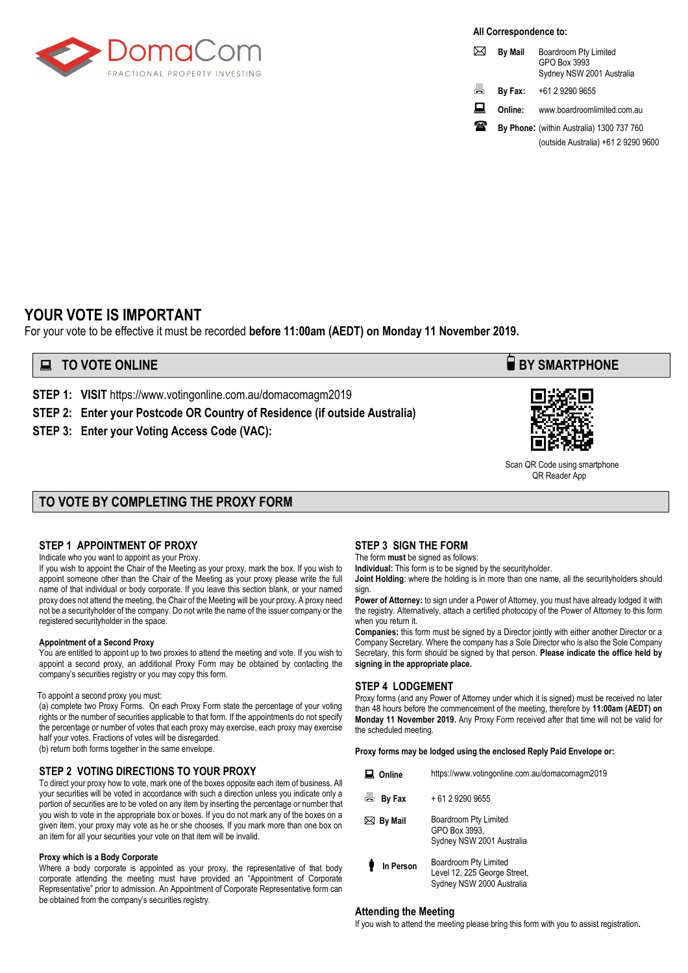

**All Correspondence to:**

| ⋈  | <b>By Mail</b> | Boardroom Pty Limited<br>GPO Box 3993<br>Sydney NSW 2001 Australia |
|----|----------------|--------------------------------------------------------------------|
| ā. | By Fax:        | +61 2 9290 9655                                                    |
| ᇦ  | Online:        | www.boardroomlimited.com.au                                        |
| 涵  |                | By Phone: (within Australia) 1300 737 760                          |
|    |                | (outside Australia) +61 2 9290 9600                                |

### **YOUR VOTE IS IMPORTANT**

For your vote to be effective it must be recorded **before 11:00am (AEDT) on Monday 11 November 2019.** 

### **EXECUTE ONLINE BY SMARTPHONE**

**STEP 1: VISIT** https://www.votingonline.com.au/domacomagm2019

**STEP 2: Enter your Postcode OR Country of Residence (if outside Australia)**

**STEP 3: Enter your Voting Access Code (VAC):**



 Scan QR Code using smartphone QR Reader App

### **TO VOTE BY COMPLETING THE PROXY FORM**

#### **STEP 1 APPOINTMENT OF PROXY**

Indicate who you want to appoint as your Proxy.

If you wish to appoint the Chair of the Meeting as your proxy, mark the box. If you wish to appoint someone other than the Chair of the Meeting as your proxy please write the full name of that individual or body corporate. If you leave this section blank, or your named proxy does not attend the meeting, the Chair of the Meeting will be your proxy. A proxy need not be a securityholder of the company. Do not write the name of the issuer company or the registered securityholder in the space.

#### **Appointment of a Second Proxy**

You are entitled to appoint up to two proxies to attend the meeting and vote. If you wish to appoint a second proxy, an additional Proxy Form may be obtained by contacting the company's securities registry or you may copy this form.

#### To appoint a second proxy you must:

(a) complete two Proxy Forms. On each Proxy Form state the percentage of your voting rights or the number of securities applicable to that form. If the appointments do not specify the percentage or number of votes that each proxy may exercise, each proxy may exercise half your votes. Fractions of votes will be disregarded.

(b) return both forms together in the same envelope.

#### **STEP 2 VOTING DIRECTIONS TO YOUR PROXY**

To direct your proxy how to vote, mark one of the boxes opposite each item of business. All your securities will be voted in accordance with such a direction unless you indicate only a portion of securities are to be voted on any item by inserting the percentage or number that you wish to vote in the appropriate box or boxes. If you do not mark any of the boxes on a given item, your proxy may vote as he or she chooses. If you mark more than one box on an item for all your securities your vote on that item will be invalid.

#### **Proxy which is a Body Corporate**

Where a body corporate is appointed as your proxy, the representative of that body corporate attending the meeting must have provided an "Appointment of Corporate Representative" prior to admission. An Appointment of Corporate Representative form can be obtained from the company's securities registry.

#### **STEP 3 SIGN THE FORM**

The form **must** be signed as follows:

**Individual:** This form is to be signed by the securityholder.

**Joint Holding**: where the holding is in more than one name, all the securityholders should sign.

**Power of Attorney:** to sign under a Power of Attorney, you must have already lodged it with the registry. Alternatively, attach a certified photocopy of the Power of Attorney to this form when you return it.

**Companies:** this form must be signed by a Director jointly with either another Director or a Company Secretary. Where the company has a Sole Director who is also the Sole Company Secretary, this form should be signed by that person. **Please indicate the office held by signing in the appropriate place.**

#### **STEP 4 LODGEMENT**

Proxy forms (and any Power of Attorney under which it is signed) must be received no later than 48 hours before the commencement of the meeting, therefore by **11:00am (AEDT) on Monday 11 November 2019.** Any Proxy Form received after that time will not be valid for the scheduled meeting.

**Proxy forms may be lodged using the enclosed Reply Paid Envelope or:**

| Online            | https://www.votingonline.com.au/domacomagm2019                                     |
|-------------------|------------------------------------------------------------------------------------|
| ā<br>By Fax       | + 61 2 9290 9655                                                                   |
| $\bowtie$ By Mail | Boardroom Pty Limited<br>GPO Box 3993.<br>Sydney NSW 2001 Australia                |
| In Person         | Boardroom Pty Limited<br>Level 12, 225 George Street,<br>Sydney NSW 2000 Australia |

#### **Attending the Meeting**

If you wish to attend the meeting please bring this form with you to assist registration**.**